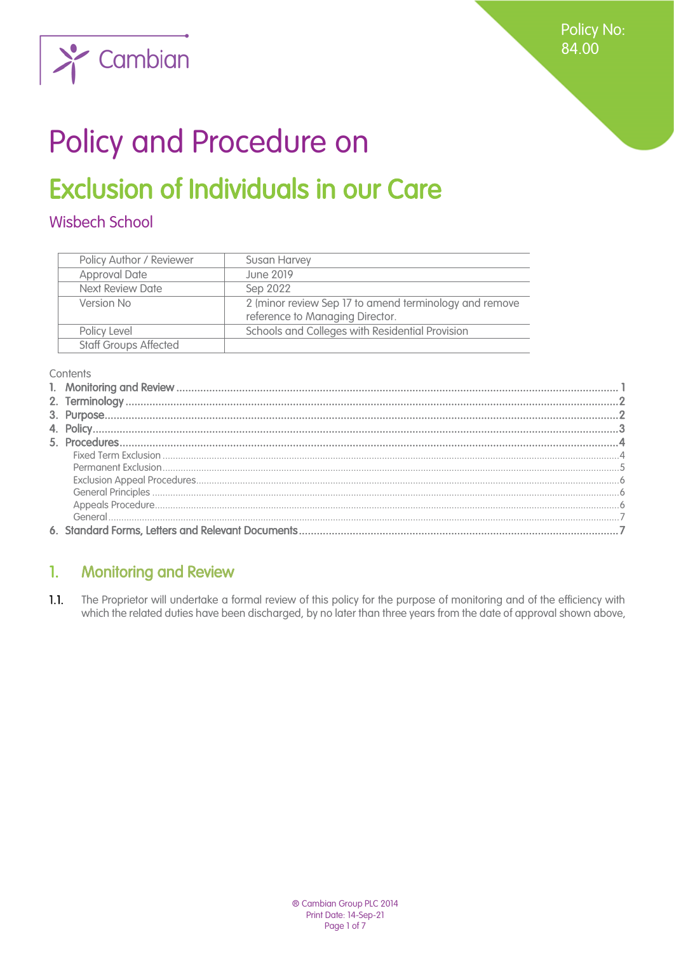Policy No: 84.00



# Policy and Procedure on

# **Exclusion of Individuals in our Care**

# **Wisbech School**

| Policy Author / Reviewer     | <b>Susan Harvey</b>                                    |
|------------------------------|--------------------------------------------------------|
| <b>Approval Date</b>         | June 2019                                              |
| Next Review Date             | Sep 2022                                               |
| Version No                   | 2 (minor review Sep 17 to amend terminology and remove |
|                              | reference to Managing Director.                        |
| Policy Level                 | Schools and Colleges with Residential Provision        |
| <b>Staff Groups Affected</b> |                                                        |

Contents

#### <span id="page-0-0"></span>**Monitoring and Review**  $\mathbf{1}$

The Proprietor will undertake a formal review of this policy for the purpose of monitoring and of the efficiency with  $1.1.$ which the related duties have been discharged, by no later than three years from the date of approval shown above,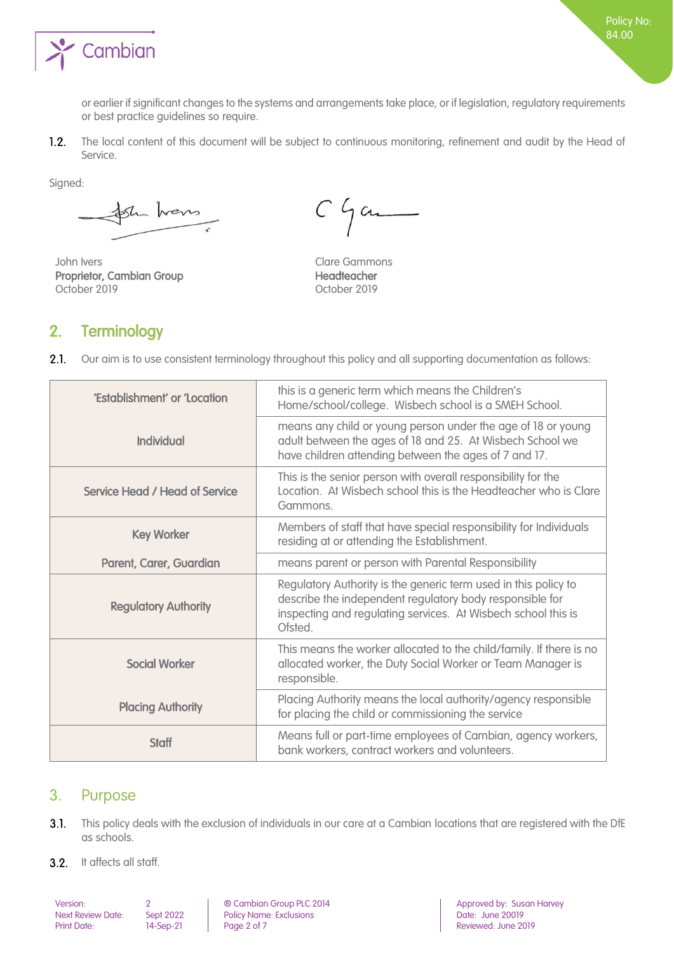

or earlier if significant changes to the systems and arrangements take place, or if legislation, regulatory requirements or best practice guidelines so require.

 $1.2.$ The local content of this document will be subject to continuous monitoring, refinement and audit by the Head of Service.

Signed:

Sh hans

John Ivers **Clare Gammons** Proprietor, Cambian Group Headteacher October 2019 October 2019

 $C$  game

# <span id="page-1-0"></span>2. Terminology

 $2.1.$ Our aim is to use consistent terminology throughout this policy and all supporting documentation as follows:

| 'Establishment' or 'Location   | this is a generic term which means the Children's<br>Home/school/college. Wisbech school is a SMEH School.                                                                                             |
|--------------------------------|--------------------------------------------------------------------------------------------------------------------------------------------------------------------------------------------------------|
| Individual                     | means any child or young person under the age of 18 or young<br>adult between the ages of 18 and 25. At Wisbech School we<br>have children attending between the ages of 7 and 17.                     |
| Service Head / Head of Service | This is the senior person with overall responsibility for the<br>Location. At Wisbech school this is the Headteacher who is Clare<br>Gammons.                                                          |
| <b>Key Worker</b>              | Members of staff that have special responsibility for Individuals<br>residing at or attending the Establishment.                                                                                       |
| Parent, Carer, Guardian        | means parent or person with Parental Responsibility                                                                                                                                                    |
| <b>Regulatory Authority</b>    | Regulatory Authority is the generic term used in this policy to<br>describe the independent regulatory body responsible for<br>inspecting and regulating services. At Wisbech school this is<br>Ofsted |
| <b>Social Worker</b>           | This means the worker allocated to the child/family. If there is no<br>allocated worker, the Duty Social Worker or Team Manager is<br>responsible.                                                     |
| <b>Placing Authority</b>       | Placing Authority means the local authority/agency responsible<br>for placing the child or commissioning the service                                                                                   |
| <b>Staff</b>                   | Means full or part-time employees of Cambian, agency workers,<br>bank workers, contract workers and volunteers.                                                                                        |

# <span id="page-1-1"></span>3. Purpose

- $3.1.$ This policy deals with the exclusion of individuals in our care at a Cambian locations that are registered with the DfE as schools.
- 3.2. It affects all staff.

Next Review Date: Sept 2022 Policy Name: Exclusions<br>Print Date: 14-Sep-21 Page 2 of 7

Version: 2 ® Cambian Group PLC 2014 Approved by: Susan Harvey Reviewed: June 2019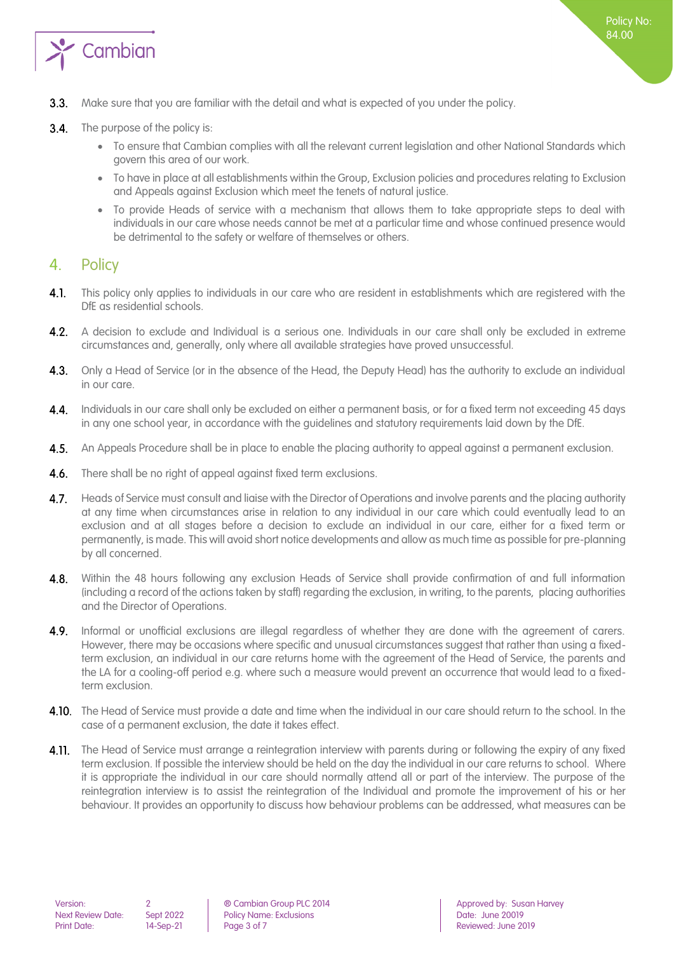

- Make sure that you are familiar with the detail and what is expected of you under the policy.  $3.3.$
- $3.4.$ The purpose of the policy is:
	- To ensure that Cambian complies with all the relevant current legislation and other National Standards which govern this area of our work.
	- To have in place at all establishments within the Group, Exclusion policies and procedures relating to Exclusion and Appeals against Exclusion which meet the tenets of natural justice.
	- To provide Heads of service with a mechanism that allows them to take appropriate steps to deal with individuals in our care whose needs cannot be met at a particular time and whose continued presence would be detrimental to the safety or welfare of themselves or others.

# <span id="page-2-0"></span>4. Policy

- $4.1.$ This policy only applies to individuals in our care who are resident in establishments which are registered with the DfE as residential schools.
- $4.2.$ A decision to exclude and Individual is a serious one. Individuals in our care shall only be excluded in extreme circumstances and, generally, only where all available strategies have proved unsuccessful.
- Only a Head of Service (or in the absence of the Head, the Deputy Head) has the authority to exclude an individual  $4.3.$ in our care.
- $4.4.$ Individuals in our care shall only be excluded on either a permanent basis, or for a fixed term not exceeding 45 days in any one school year, in accordance with the guidelines and statutory requirements laid down by the DfE.
- $4.5.$ An Appeals Procedure shall be in place to enable the placing authority to appeal against a permanent exclusion.
- $4.6.$ There shall be no right of appeal against fixed term exclusions.
- $4.7.$ Heads of Service must consult and liaise with the Director of Operations and involve parents and the placing authority at any time when circumstances arise in relation to any individual in our care which could eventually lead to an exclusion and at all stages before a decision to exclude an individual in our care, either for a fixed term or permanently, is made. This will avoid short notice developments and allow as much time as possible for pre-planning by all concerned.
- $4.8.$ Within the 48 hours following any exclusion Heads of Service shall provide confirmation of and full information (including a record of the actions taken by staff) regarding the exclusion, in writing, to the parents, placing authorities and the Director of Operations.
- Informal or unofficial exclusions are illegal regardless of whether they are done with the agreement of carers.  $4.9.$ However, there may be occasions where specific and unusual circumstances suggest that rather than using a fixedterm exclusion, an individual in our care returns home with the agreement of the Head of Service, the parents and the LA for a cooling-off period e.g. where such a measure would prevent an occurrence that would lead to a fixedterm exclusion.
- 4.10. The Head of Service must provide a date and time when the individual in our care should return to the school. In the case of a permanent exclusion, the date it takes effect.
- 4.11. The Head of Service must arrange a reintegration interview with parents during or following the expiry of any fixed term exclusion. If possible the interview should be held on the day the individual in our care returns to school. Where it is appropriate the individual in our care should normally attend all or part of the interview. The purpose of the reintegration interview is to assist the reintegration of the Individual and promote the improvement of his or her behaviour. It provides an opportunity to discuss how behaviour problems can be addressed, what measures can be

Next Review Date: Sept 2022 Policy Name: Exclusions<br>
Print Date: 14-Sep-21 Page 3 of 7 Print Date: **14-Sep-21** | Page 3 of 7 | Reviewed: June 2019

Version: 2 ® Cambian Group PLC 2014 Approved by: Susan Harvey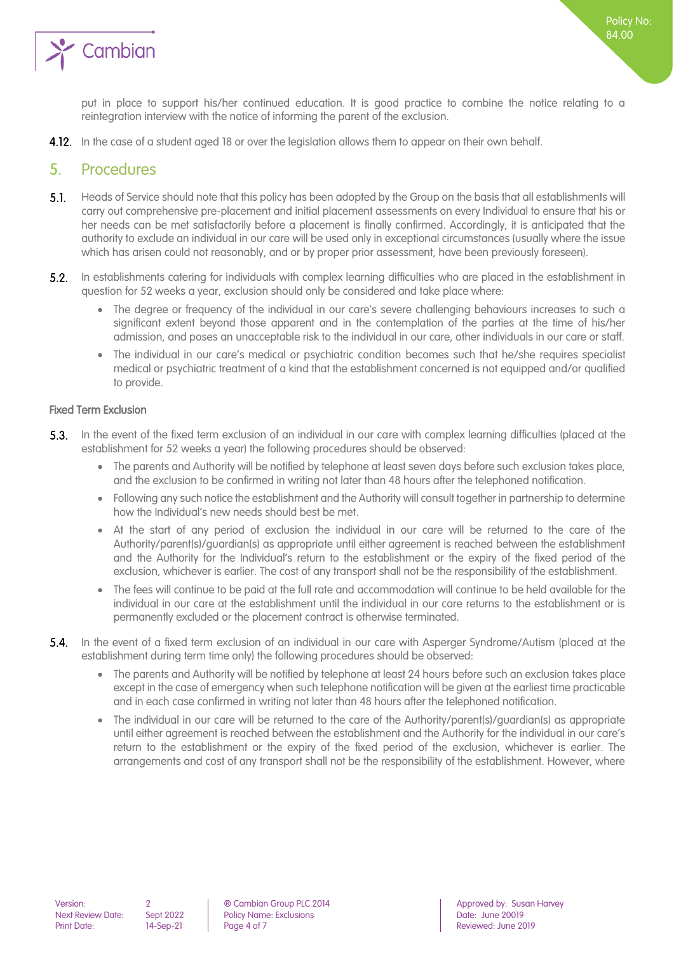

put in place to support his/her continued education. It is good practice to combine the notice relating to a reintegration interview with the notice of informing the parent of the exclusion.

4.12. In the case of a student aged 18 or over the legislation allows them to appear on their own behalf.

### <span id="page-3-0"></span>5. Procedures

- $5.1$ Heads of Service should note that this policy has been adopted by the Group on the basis that all establishments will carry out comprehensive pre-placement and initial placement assessments on every Individual to ensure that his or her needs can be met satisfactorily before a placement is finally confirmed. Accordingly, it is anticipated that the authority to exclude an individual in our care will be used only in exceptional circumstances (usually where the issue which has arisen could not reasonably, and or by proper prior assessment, have been previously foreseen).
- In establishments catering for individuals with complex learning difficulties who are placed in the establishment in  $5.2.$ question for 52 weeks a year, exclusion should only be considered and take place where:
	- The degree or frequency of the individual in our care's severe challenging behaviours increases to such a significant extent beyond those apparent and in the contemplation of the parties at the time of his/her admission, and poses an unacceptable risk to the individual in our care, other individuals in our care or staff.
	- The individual in our care's medical or psychiatric condition becomes such that he/she requires specialist medical or psychiatric treatment of a kind that the establishment concerned is not equipped and/or qualified to provide.

#### <span id="page-3-1"></span>Fixed Term Exclusion

- **5.3.** In the event of the fixed term exclusion of an individual in our care with complex learning difficulties (placed at the establishment for 52 weeks a year) the following procedures should be observed:
	- The parents and Authority will be notified by telephone at least seven days before such exclusion takes place, and the exclusion to be confirmed in writing not later than 48 hours after the telephoned notification.
	- Following any such notice the establishment and the Authority will consult together in partnership to determine how the Individual's new needs should best be met.
	- At the start of any period of exclusion the individual in our care will be returned to the care of the Authority/parent(s)/guardian(s) as appropriate until either agreement is reached between the establishment and the Authority for the Individual's return to the establishment or the expiry of the fixed period of the exclusion, whichever is earlier. The cost of any transport shall not be the responsibility of the establishment.
	- The fees will continue to be paid at the full rate and accommodation will continue to be held available for the individual in our care at the establishment until the individual in our care returns to the establishment or is permanently excluded or the placement contract is otherwise terminated.
- **5.4.** In the event of a fixed term exclusion of an individual in our care with Asperger Syndrome/Autism (placed at the establishment during term time only) the following procedures should be observed:
	- The parents and Authority will be notified by telephone at least 24 hours before such an exclusion takes place except in the case of emergency when such telephone notification will be given at the earliest time practicable and in each case confirmed in writing not later than 48 hours after the telephoned notification.
	- The individual in our care will be returned to the care of the Authority/parent(s)/guardian(s) as appropriate until either agreement is reached between the establishment and the Authority for the individual in our care's return to the establishment or the expiry of the fixed period of the exclusion, whichever is earlier. The arrangements and cost of any transport shall not be the responsibility of the establishment. However, where

Next Review Date: Sept 2022 Policy Name: Exclusions Print Date: 14-Sep-21 Page 4 of 7 Reviewed: June 2019

Version: 2 ® Cambian Group PLC 2014 Approved by: Susan Harvey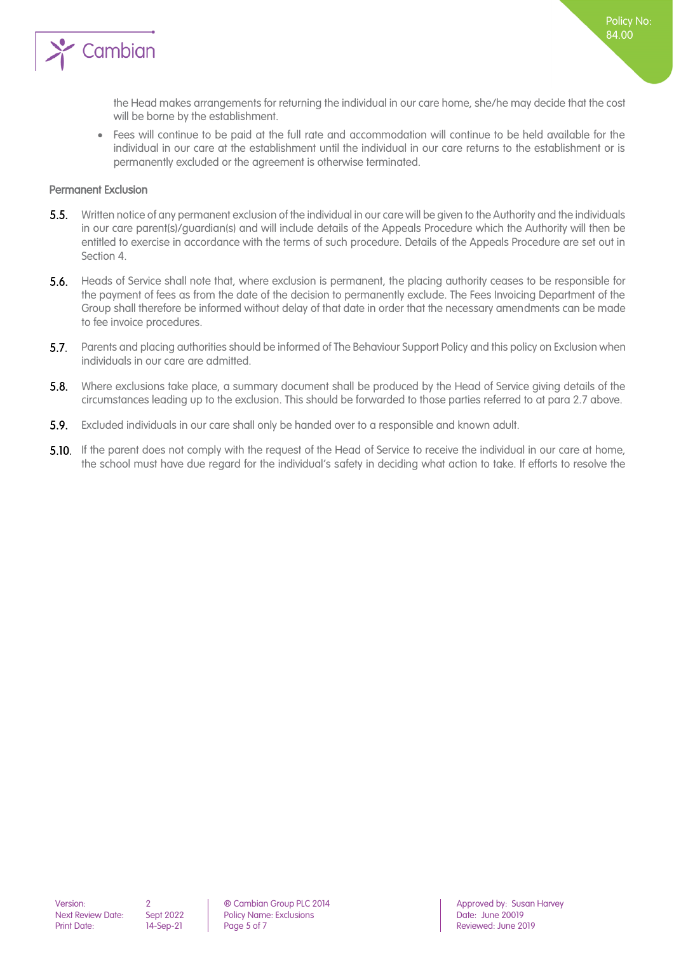

the Head makes arrangements for returning the individual in our care home, she/he may decide that the cost will be borne by the establishment.

• Fees will continue to be paid at the full rate and accommodation will continue to be held available for the individual in our care at the establishment until the individual in our care returns to the establishment or is permanently excluded or the agreement is otherwise terminated.

#### <span id="page-4-0"></span>Permanent Exclusion

- $5.5.$ Written notice of any permanent exclusion of the individual in our care will be given to the Authority and the individuals in our care parent(s)/guardian(s) and will include details of the Appeals Procedure which the Authority will then be entitled to exercise in accordance with the terms of such procedure. Details of the Appeals Procedure are set out in Section 4.
- **5.6.** Heads of Service shall note that, where exclusion is permanent, the placing authority ceases to be responsible for the payment of fees as from the date of the decision to permanently exclude. The Fees Invoicing Department of the Group shall therefore be informed without delay of that date in order that the necessary amendments can be made to fee invoice procedures.
- 5.7. Parents and placing authorities should be informed of The Behaviour Support Policy and this policy on Exclusion when individuals in our care are admitted.
- 5.8. Where exclusions take place, a summary document shall be produced by the Head of Service giving details of the circumstances leading up to the exclusion. This should be forwarded to those parties referred to at para 2.7 above.
- Excluded individuals in our care shall only be handed over to a responsible and known adult.
- **5.10.** If the parent does not comply with the request of the Head of Service to receive the individual in our care at home, the school must have due regard for the individual's safety in deciding what action to take. If efforts to resolve the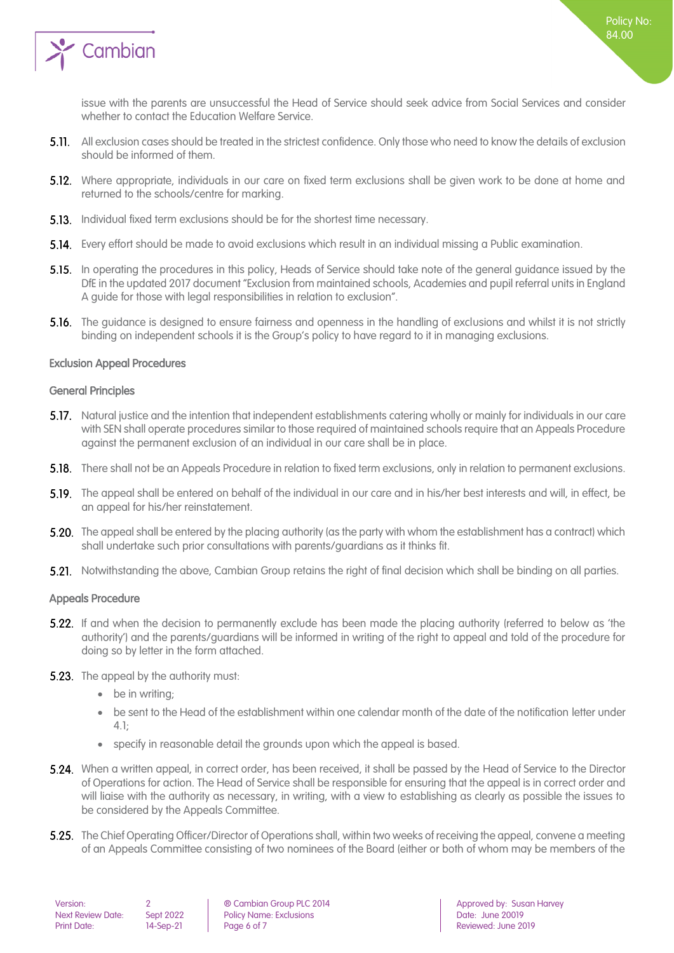

Policy No: 84.00

- 5.11. All exclusion cases should be treated in the strictest confidence. Only those who need to know the details of exclusion should be informed of them.
- **5.12.** Where appropriate, individuals in our care on fixed term exclusions shall be given work to be done at home and returned to the schools/centre for marking.
- **5.13.** Individual fixed term exclusions should be for the shortest time necessary.
- **5.14.** Every effort should be made to avoid exclusions which result in an individual missing a Public examination.
- **5.15.** In operating the procedures in this policy, Heads of Service should take note of the general guidance issued by the DfE in the updated 2017 document "Exclusion from maintained schools, Academies and pupil referral units in England A guide for those with legal responsibilities in relation to exclusion".
- 5.16. The guidance is designed to ensure fairness and openness in the handling of exclusions and whilst it is not strictly binding on independent schools it is the Group's policy to have regard to it in managing exclusions.

#### <span id="page-5-0"></span>Exclusion Appeal Procedures

#### <span id="page-5-1"></span>General Principles

- **5.17.** Natural justice and the intention that independent establishments catering wholly or mainly for individuals in our care with SEN shall operate procedures similar to those required of maintained schools require that an Appeals Procedure against the permanent exclusion of an individual in our care shall be in place.
- **5.18.** There shall not be an Appeals Procedure in relation to fixed term exclusions, only in relation to permanent exclusions.
- **5.19.** The appeal shall be entered on behalf of the individual in our care and in his/her best interests and will, in effect, be an appeal for his/her reinstatement.
- 5.20. The appeal shall be entered by the placing authority (as the party with whom the establishment has a contract) which shall undertake such prior consultations with parents/guardians as it thinks fit.
- <span id="page-5-2"></span>5.21. Notwithstanding the above, Cambian Group retains the right of final decision which shall be binding on all parties.

#### Appeals Procedure

- **5.22.** If and when the decision to permanently exclude has been made the placing authority (referred to below as 'the authority') and the parents/guardians will be informed in writing of the right to appeal and told of the procedure for doing so by letter in the form attached.
- **5.23.** The appeal by the authority must:
	- be in writing:
	- be sent to the Head of the establishment within one calendar month of the date of the notification letter under 4.1;
	- specify in reasonable detail the grounds upon which the appeal is based.
- 5.24. When a written appeal, in correct order, has been received, it shall be passed by the Head of Service to the Director of Operations for action. The Head of Service shall be responsible for ensuring that the appeal is in correct order and will liaise with the authority as necessary, in writing, with a view to establishing as clearly as possible the issues to be considered by the Appeals Committee.
- 5.25. The Chief Operating Officer/Director of Operations shall, within two weeks of receiving the appeal, convene a meeting of an Appeals Committee consisting of two nominees of the Board (either or both of whom may be members of the

| Version:                 |   |
|--------------------------|---|
| <b>Next Review Date:</b> | c |
| <b>Print Date:</b>       |   |

Nept 2022 Policy Name: Exclusions Date: June 20019<br>- Policy Name: Exclusions Date: Date: June 20019<br>- Reviewed: June 20 Page 6 of 7 Reviewed: June 2019

**Cambian Group PLC 2014 Approved by: Susan Harvey**